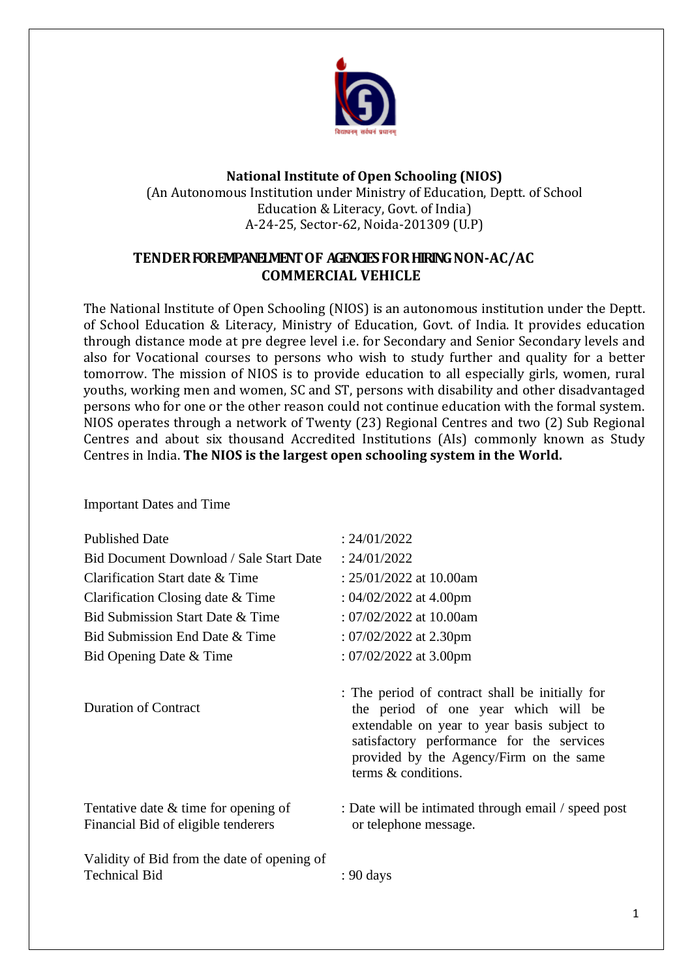

# **National Institute of Open Schooling (NIOS)** (An Autonomous Institution under Ministry of Education, Deptt. of School

Education & Literacy, Govt. of India) A-24-25, Sector-62, Noida-201309 (U.P)

# **TENDERFOREMPANELMENTOF AGENCIESFORHIRINGNON-AC/AC COMMERCIAL VEHICLE**

The National Institute of Open Schooling (NIOS) is an autonomous institution under the Deptt. of School Education & Literacy, Ministry of Education, Govt. of India. It provides education through distance mode at pre degree level i.e. for Secondary and Senior Secondary levels and also for Vocational courses to persons who wish to study further and quality for a better tomorrow. The mission of NIOS is to provide education to all especially girls, women, rural youths, working men and women, SC and ST, persons with disability and other disadvantaged persons who for one or the other reason could not continue education with the formal system. NIOS operates through a network of Twenty (23) Regional Centres and two (2) Sub Regional Centres and about six thousand Accredited Institutions (AIs) commonly known as Study Centres in India. **The NIOS is the largest open schooling system in the World.**

Important Dates and Time

| <b>Published Date</b>                                                         | : 24/01/2022                                                                                                                                                                                                                                          |
|-------------------------------------------------------------------------------|-------------------------------------------------------------------------------------------------------------------------------------------------------------------------------------------------------------------------------------------------------|
| Bid Document Download / Sale Start Date                                       | : 24/01/2022                                                                                                                                                                                                                                          |
| Clarification Start date & Time                                               | : $25/01/2022$ at 10.00am                                                                                                                                                                                                                             |
| Clarification Closing date & Time                                             | : $04/02/2022$ at 4.00pm                                                                                                                                                                                                                              |
| Bid Submission Start Date & Time                                              | : $07/02/2022$ at 10.00am                                                                                                                                                                                                                             |
| Bid Submission End Date & Time                                                | : $07/02/2022$ at 2.30pm                                                                                                                                                                                                                              |
| Bid Opening Date & Time                                                       | : $07/02/2022$ at 3.00pm                                                                                                                                                                                                                              |
| <b>Duration of Contract</b>                                                   | : The period of contract shall be initially for<br>the period of one year which will be<br>extendable on year to year basis subject to<br>satisfactory performance for the services<br>provided by the Agency/Firm on the same<br>terms & conditions. |
| Tentative date $&$ time for opening of<br>Financial Bid of eligible tenderers | : Date will be intimated through email / speed post<br>or telephone message.                                                                                                                                                                          |
| Validity of Bid from the date of opening of<br><b>Technical Bid</b>           | : 90 days                                                                                                                                                                                                                                             |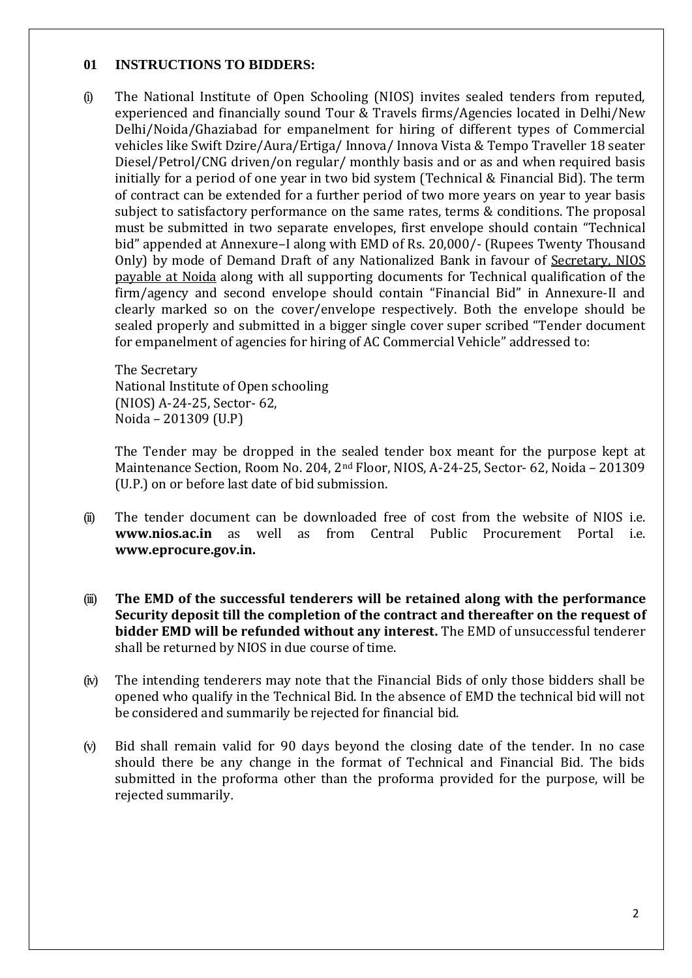#### **01 INSTRUCTIONS TO BIDDERS:**

(i) The National Institute of Open Schooling (NIOS) invites sealed tenders from reputed, experienced and financially sound Tour & Travels firms/Agencies located in Delhi/New Delhi/Noida/Ghaziabad for empanelment for hiring of different types of Commercial vehicles like Swift Dzire/Aura/Ertiga/ Innova/ Innova Vista & Tempo Traveller 18 seater Diesel/Petrol/CNG driven/on regular/ monthly basis and or as and when required basis initially for a period of one year in two bid system (Technical & Financial Bid). The term of contract can be extended for a further period of two more years on year to year basis subject to satisfactory performance on the same rates, terms & conditions. The proposal must be submitted in two separate envelopes, first envelope should contain "Technical bid" appended at Annexure–I along with EMD of Rs. 20,000/- (Rupees Twenty Thousand Only) by mode of Demand Draft of any Nationalized Bank in favour of Secretary, NIOS payable at Noida along with all supporting documents for Technical qualification of the firm/agency and second envelope should contain "Financial Bid" in Annexure-II and clearly marked so on the cover/envelope respectively. Both the envelope should be sealed properly and submitted in a bigger single cover super scribed "Tender document for empanelment of agencies for hiring of AC Commercial Vehicle" addressed to:

The Secretary National Institute of Open schooling (NIOS) A-24-25, Sector- 62, Noida – 201309 (U.P)

The Tender may be dropped in the sealed tender box meant for the purpose kept at Maintenance Section, Room No. 204, 2nd Floor, NIOS, A-24-25, Sector- 62, Noida – 201309 (U.P.) on or before last date of bid submission.

- (ii) The tender document can be downloaded free of cost from the website of NIOS i.e. **www.nios.ac.in** as well as from Central Public Procurement Portal i.e. **www.eprocure.gov.in.**
- (iii) **The EMD of the successful tenderers will be retained along with the performance Security deposit till the completion of the contract and thereafter on the request of bidder EMD will be refunded without any interest.** The EMD of unsuccessful tenderer shall be returned by NIOS in due course of time.
- (iv) The intending tenderers may note that the Financial Bids of only those bidders shall be opened who qualify in the Technical Bid. In the absence of EMD the technical bid will not be considered and summarily be rejected for financial bid.
- (v) Bid shall remain valid for 90 days beyond the closing date of the tender. In no case should there be any change in the format of Technical and Financial Bid. The bids submitted in the proforma other than the proforma provided for the purpose, will be rejected summarily.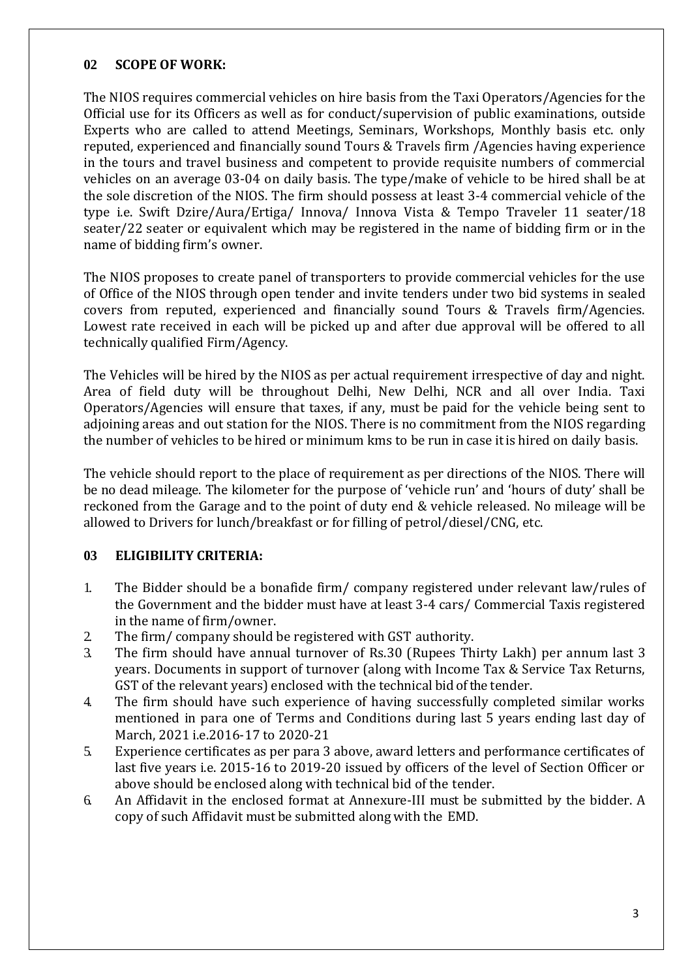# **02 SCOPE OF WORK:**

The NIOS requires commercial vehicles on hire basis from the Taxi Operators/Agencies for the Official use for its Officers as well as for conduct/supervision of public examinations, outside Experts who are called to attend Meetings, Seminars, Workshops, Monthly basis etc. only reputed, experienced and financially sound Tours & Travels firm /Agencies having experience in the tours and travel business and competent to provide requisite numbers of commercial vehicles on an average 03-04 on daily basis. The type/make of vehicle to be hired shall be at the sole discretion of the NIOS. The firm should possess at least 3-4 commercial vehicle of the type i.e. Swift Dzire/Aura/Ertiga/ Innova/ Innova Vista & Tempo Traveler 11 seater/18 seater/22 seater or equivalent which may be registered in the name of bidding firm or in the name of bidding firm's owner.

The NIOS proposes to create panel of transporters to provide commercial vehicles for the use of Office of the NIOS through open tender and invite tenders under two bid systems in sealed covers from reputed, experienced and financially sound Tours & Travels firm/Agencies. Lowest rate received in each will be picked up and after due approval will be offered to all technically qualified Firm/Agency.

The Vehicles will be hired by the NIOS as per actual requirement irrespective of day and night. Area of field duty will be throughout Delhi, New Delhi, NCR and all over India. Taxi Operators/Agencies will ensure that taxes, if any, must be paid for the vehicle being sent to adjoining areas and out station for the NIOS. There is no commitment from the NIOS regarding the number of vehicles to be hired or minimum kms to be run in case it is hired on daily basis.

The vehicle should report to the place of requirement as per directions of the NIOS. There will be no dead mileage. The kilometer for the purpose of 'vehicle run' and 'hours of duty' shall be reckoned from the Garage and to the point of duty end & vehicle released. No mileage will be allowed to Drivers for lunch/breakfast or for filling of petrol/diesel/CNG, etc.

### **03 ELIGIBILITY CRITERIA:**

- 1. The Bidder should be a bonafide firm/ company registered under relevant law/rules of the Government and the bidder must have at least 3-4 cars/ Commercial Taxis registered in the name of firm/owner.
- 2. The firm/ company should be registered with GST authority.
- 3. The firm should have annual turnover of Rs.30 (Rupees Thirty Lakh) per annum last 3 years. Documents in support of turnover (along with Income Tax & Service Tax Returns, GST of the relevant years) enclosed with the technical bid of the tender.
- 4. The firm should have such experience of having successfully completed similar works mentioned in para one of Terms and Conditions during last 5 years ending last day of March, 2021 i.e.2016-17 to 2020-21
- 5. Experience certificates as per para 3 above, award letters and performance certificates of last five years i.e. 2015-16 to 2019-20 issued by officers of the level of Section Officer or above should be enclosed along with technical bid of the tender.
- 6. An Affidavit in the enclosed format at Annexure-III must be submitted by the bidder. A copy of such Affidavit must be submitted along with the EMD.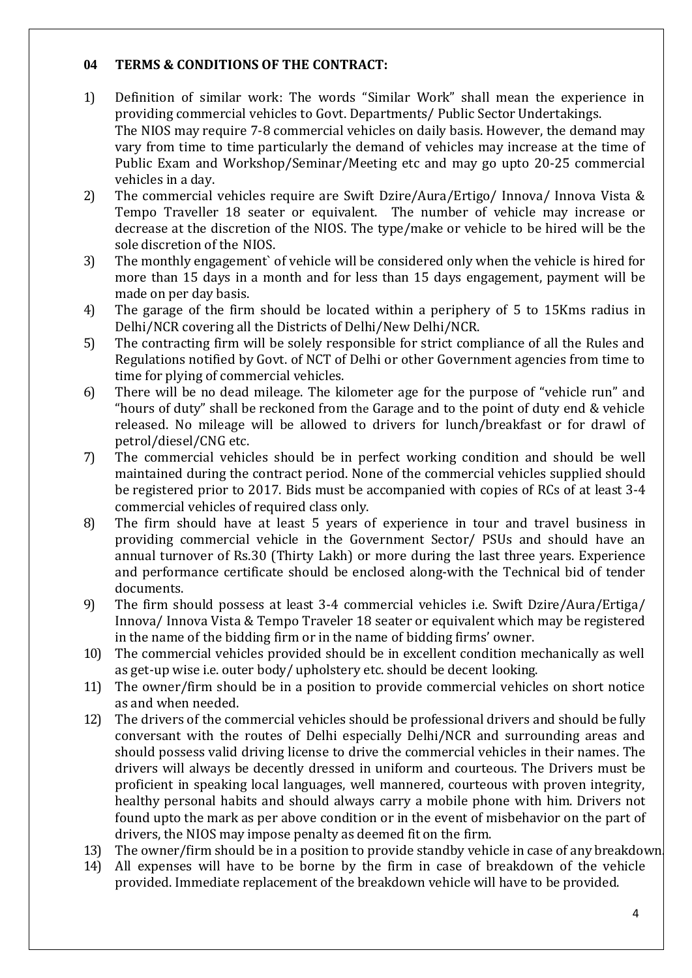# **04 TERMS & CONDITIONS OF THE CONTRACT:**

- 1) Definition of similar work: The words "Similar Work" shall mean the experience in providing commercial vehicles to Govt. Departments/ Public Sector Undertakings. The NIOS may require 7-8 commercial vehicles on daily basis. However, the demand may vary from time to time particularly the demand of vehicles may increase at the time of Public Exam and Workshop/Seminar/Meeting etc and may go upto 20-25 commercial vehicles in a day.
- 2) The commercial vehicles require are Swift Dzire/Aura/Ertigo/ Innova/ Innova Vista & Tempo Traveller 18 seater or equivalent. The number of vehicle may increase or decrease at the discretion of the NIOS. The type/make or vehicle to be hired will be the sole discretion of the NIOS.
- 3) The monthly engagement` of vehicle will be considered only when the vehicle is hired for more than 15 days in a month and for less than 15 days engagement, payment will be made on per day basis.
- 4) The garage of the firm should be located within a periphery of 5 to 15Kms radius in Delhi/NCR covering all the Districts of Delhi/New Delhi/NCR.
- 5) The contracting firm will be solely responsible for strict compliance of all the Rules and Regulations notified by Govt. of NCT of Delhi or other Government agencies from time to time for plying of commercial vehicles.
- 6) There will be no dead mileage. The kilometer age for the purpose of "vehicle run" and "hours of duty" shall be reckoned from the Garage and to the point of duty end & vehicle released. No mileage will be allowed to drivers for lunch/breakfast or for drawl of petrol/diesel/CNG etc.
- 7) The commercial vehicles should be in perfect working condition and should be well maintained during the contract period. None of the commercial vehicles supplied should be registered prior to 2017. Bids must be accompanied with copies of RCs of at least 3-4 commercial vehicles of required class only.
- 8) The firm should have at least 5 years of experience in tour and travel business in providing commercial vehicle in the Government Sector/ PSUs and should have an annual turnover of Rs.30 (Thirty Lakh) or more during the last three years. Experience and performance certificate should be enclosed along-with the Technical bid of tender documents.
- 9) The firm should possess at least 3-4 commercial vehicles i.e. Swift Dzire/Aura/Ertiga/ Innova/ Innova Vista & Tempo Traveler 18 seater or equivalent which may be registered in the name of the bidding firm or in the name of bidding firms' owner.
- 10) The commercial vehicles provided should be in excellent condition mechanically as well as get-up wise i.e. outer body/ upholstery etc. should be decent looking.
- 11) The owner/firm should be in a position to provide commercial vehicles on short notice as and when needed.
- 12) The drivers of the commercial vehicles should be professional drivers and should be fully conversant with the routes of Delhi especially Delhi/NCR and surrounding areas and should possess valid driving license to drive the commercial vehicles in their names. The drivers will always be decently dressed in uniform and courteous. The Drivers must be proficient in speaking local languages, well mannered, courteous with proven integrity, healthy personal habits and should always carry a mobile phone with him. Drivers not found upto the mark as per above condition or in the event of misbehavior on the part of drivers, the NIOS may impose penalty as deemed fit on the firm.
- 13) The owner/firm should be in a position to provide standby vehicle in case of any breakdown.
- 14) All expenses will have to be borne by the firm in case of breakdown of the vehicle provided. Immediate replacement of the breakdown vehicle will have to be provided.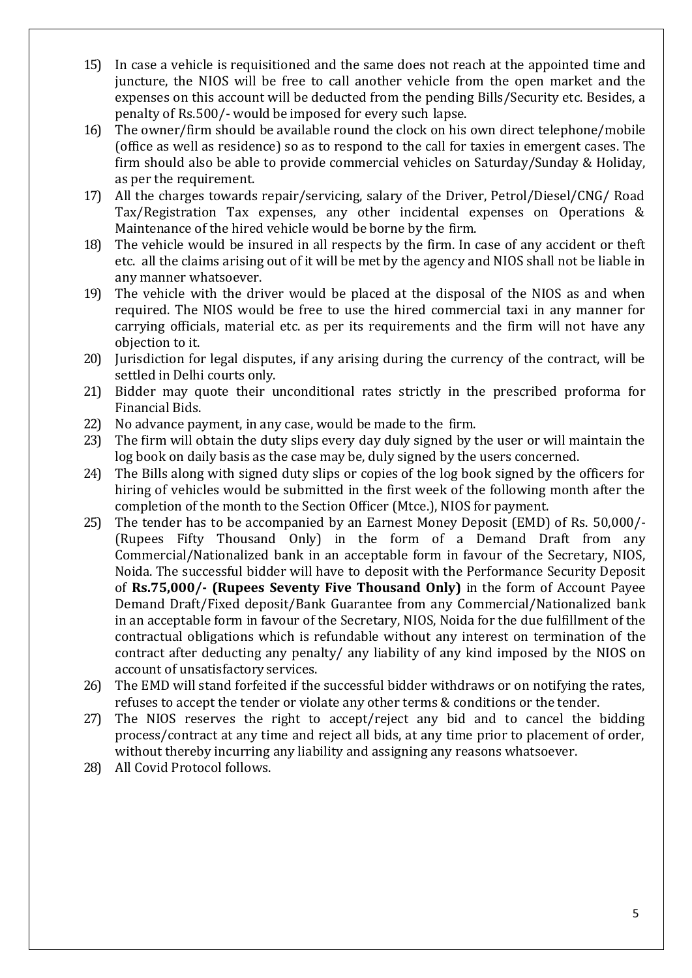- 15) In case a vehicle is requisitioned and the same does not reach at the appointed time and juncture, the NIOS will be free to call another vehicle from the open market and the expenses on this account will be deducted from the pending Bills/Security etc. Besides, a penalty of Rs.500/- would be imposed for every such lapse.
- 16) The owner/firm should be available round the clock on his own direct telephone/mobile (office as well as residence) so as to respond to the call for taxies in emergent cases. The firm should also be able to provide commercial vehicles on Saturday/Sunday & Holiday, as per the requirement.
- 17) All the charges towards repair/servicing, salary of the Driver, Petrol/Diesel/CNG/ Road Tax/Registration Tax expenses, any other incidental expenses on Operations & Maintenance of the hired vehicle would be borne by the firm.
- 18) The vehicle would be insured in all respects by the firm. In case of any accident or theft etc. all the claims arising out of it will be met by the agency and NIOS shall not be liable in any manner whatsoever.
- 19) The vehicle with the driver would be placed at the disposal of the NIOS as and when required. The NIOS would be free to use the hired commercial taxi in any manner for carrying officials, material etc. as per its requirements and the firm will not have any objection to it.
- 20) Jurisdiction for legal disputes, if any arising during the currency of the contract, will be settled in Delhi courts only.
- 21) Bidder may quote their unconditional rates strictly in the prescribed proforma for Financial Bids.
- 22) No advance payment, in any case, would be made to the firm.
- 23) The firm will obtain the duty slips every day duly signed by the user or will maintain the log book on daily basis as the case may be, duly signed by the users concerned.
- 24) The Bills along with signed duty slips or copies of the log book signed by the officers for hiring of vehicles would be submitted in the first week of the following month after the completion of the month to the Section Officer (Mtce.), NIOS for payment.
- 25) The tender has to be accompanied by an Earnest Money Deposit (EMD) of Rs. 50,000/- (Rupees Fifty Thousand Only) in the form of a Demand Draft from any Commercial/Nationalized bank in an acceptable form in favour of the Secretary, NIOS, Noida. The successful bidder will have to deposit with the Performance Security Deposit of **Rs.75,000/- (Rupees Seventy Five Thousand Only)** in the form of Account Payee Demand Draft/Fixed deposit/Bank Guarantee from any Commercial/Nationalized bank in an acceptable form in favour of the Secretary, NIOS, Noida for the due fulfillment of the contractual obligations which is refundable without any interest on termination of the contract after deducting any penalty/ any liability of any kind imposed by the NIOS on account of unsatisfactory services.
- 26) The EMD will stand forfeited if the successful bidder withdraws or on notifying the rates, refuses to accept the tender or violate any other terms & conditions or the tender.
- 27) The NIOS reserves the right to accept/reject any bid and to cancel the bidding process/contract at any time and reject all bids, at any time prior to placement of order, without thereby incurring any liability and assigning any reasons whatsoever.
- 28) All Covid Protocol follows.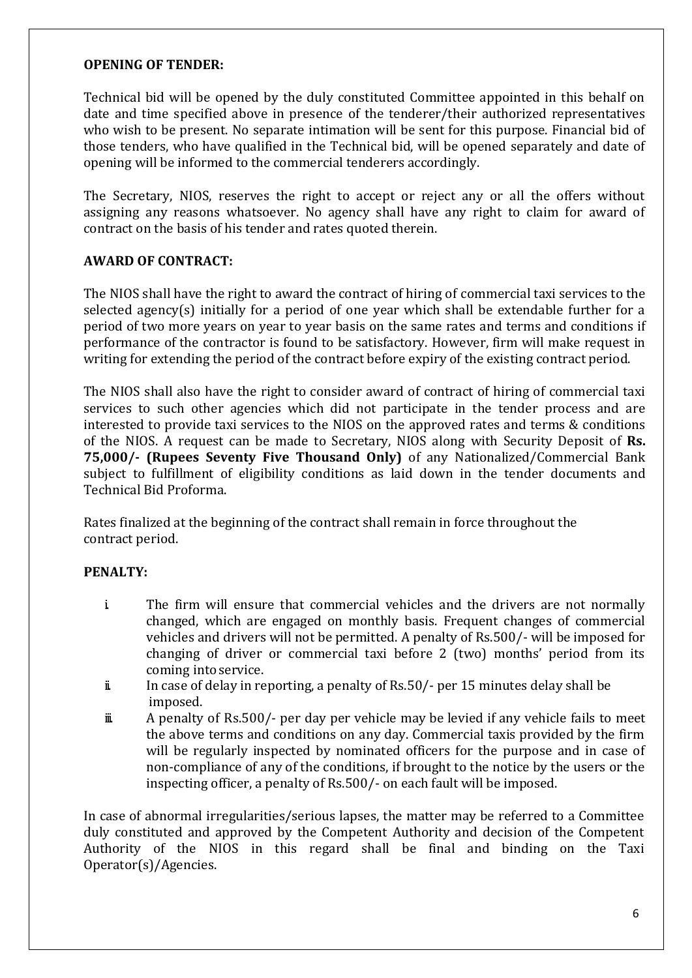### **OPENING OF TENDER:**

Technical bid will be opened by the duly constituted Committee appointed in this behalf on date and time specified above in presence of the tenderer/their authorized representatives who wish to be present. No separate intimation will be sent for this purpose. Financial bid of those tenders, who have qualified in the Technical bid, will be opened separately and date of opening will be informed to the commercial tenderers accordingly.

The Secretary, NIOS, reserves the right to accept or reject any or all the offers without assigning any reasons whatsoever. No agency shall have any right to claim for award of contract on the basis of his tender and rates quoted therein.

# **AWARD OF CONTRACT:**

The NIOS shall have the right to award the contract of hiring of commercial taxi services to the selected agency(s) initially for a period of one year which shall be extendable further for a period of two more years on year to year basis on the same rates and terms and conditions if performance of the contractor is found to be satisfactory. However, firm will make request in writing for extending the period of the contract before expiry of the existing contract period.

The NIOS shall also have the right to consider award of contract of hiring of commercial taxi services to such other agencies which did not participate in the tender process and are interested to provide taxi services to the NIOS on the approved rates and terms & conditions of the NIOS. A request can be made to Secretary, NIOS along with Security Deposit of **Rs. 75,000/- (Rupees Seventy Five Thousand Only)** of any Nationalized/Commercial Bank subject to fulfillment of eligibility conditions as laid down in the tender documents and Technical Bid Proforma.

Rates finalized at the beginning of the contract shall remain in force throughout the contract period.

### **PENALTY:**

- i. The firm will ensure that commercial vehicles and the drivers are not normally changed, which are engaged on monthly basis. Frequent changes of commercial vehicles and drivers will not be permitted. A penalty of Rs.500/- will be imposed for changing of driver or commercial taxi before 2 (two) months' period from its coming into service.
- ii. In case of delay in reporting, a penalty of Rs.50/- per 15 minutes delay shall be imposed.
- iii. A penalty of Rs.500/- per day per vehicle may be levied if any vehicle fails to meet the above terms and conditions on any day. Commercial taxis provided by the firm will be regularly inspected by nominated officers for the purpose and in case of non-compliance of any of the conditions, if brought to the notice by the users or the inspecting officer, a penalty of Rs.500/- on each fault will be imposed.

In case of abnormal irregularities/serious lapses, the matter may be referred to a Committee duly constituted and approved by the Competent Authority and decision of the Competent Authority of the NIOS in this regard shall be final and binding on the Taxi Operator(s)/Agencies.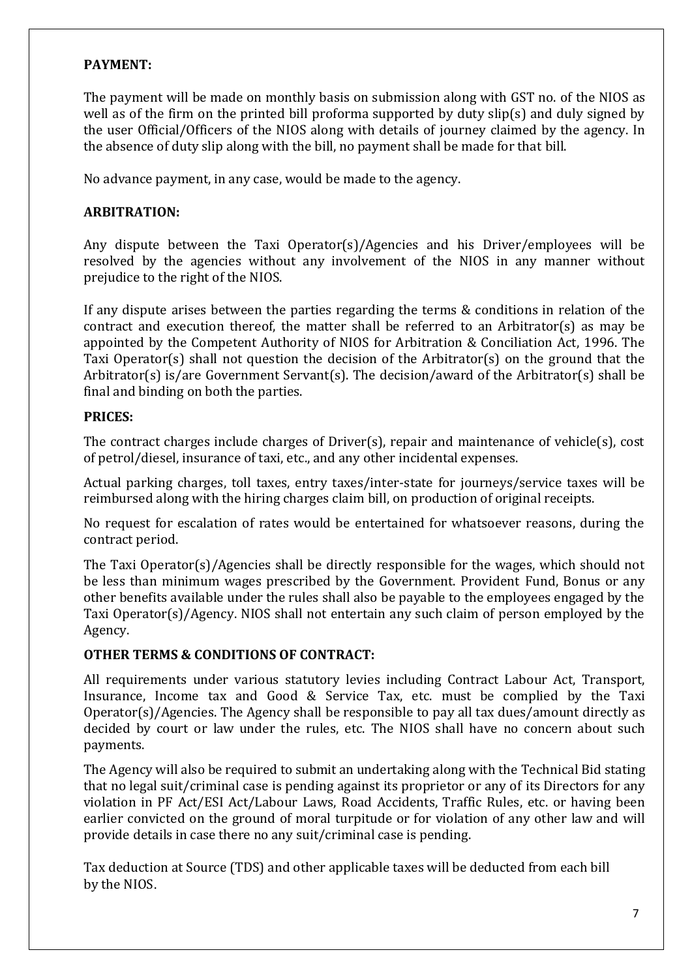# **PAYMENT:**

The payment will be made on monthly basis on submission along with GST no. of the NIOS as well as of the firm on the printed bill proforma supported by duty slip(s) and duly signed by the user Official/Officers of the NIOS along with details of journey claimed by the agency. In the absence of duty slip along with the bill, no payment shall be made for that bill.

No advance payment, in any case, would be made to the agency.

#### **ARBITRATION:**

Any dispute between the Taxi Operator(s)/Agencies and his Driver/employees will be resolved by the agencies without any involvement of the NIOS in any manner without prejudice to the right of the NIOS.

If any dispute arises between the parties regarding the terms & conditions in relation of the contract and execution thereof, the matter shall be referred to an Arbitrator(s) as may be appointed by the Competent Authority of NIOS for Arbitration & Conciliation Act, 1996. The Taxi Operator(s) shall not question the decision of the Arbitrator(s) on the ground that the Arbitrator(s) is/are Government Servant(s). The decision/award of the Arbitrator(s) shall be final and binding on both the parties.

#### **PRICES:**

The contract charges include charges of Driver(s), repair and maintenance of vehicle(s), cost of petrol/diesel, insurance of taxi, etc., and any other incidental expenses.

Actual parking charges, toll taxes, entry taxes/inter-state for journeys/service taxes will be reimbursed along with the hiring charges claim bill, on production of original receipts.

No request for escalation of rates would be entertained for whatsoever reasons, during the contract period.

The Taxi Operator(s)/Agencies shall be directly responsible for the wages, which should not be less than minimum wages prescribed by the Government. Provident Fund, Bonus or any other benefits available under the rules shall also be payable to the employees engaged by the Taxi Operator(s)/Agency. NIOS shall not entertain any such claim of person employed by the Agency.

# **OTHER TERMS & CONDITIONS OF CONTRACT:**

All requirements under various statutory levies including Contract Labour Act, Transport, Insurance, Income tax and Good & Service Tax, etc. must be complied by the Taxi Operator(s)/Agencies. The Agency shall be responsible to pay all tax dues/amount directly as decided by court or law under the rules, etc. The NIOS shall have no concern about such payments.

The Agency will also be required to submit an undertaking along with the Technical Bid stating that no legal suit/criminal case is pending against its proprietor or any of its Directors for any violation in PF Act/ESI Act/Labour Laws, Road Accidents, Traffic Rules, etc. or having been earlier convicted on the ground of moral turpitude or for violation of any other law and will provide details in case there no any suit/criminal case is pending.

Tax deduction at Source (TDS) and other applicable taxes will be deducted from each bill by the NIOS.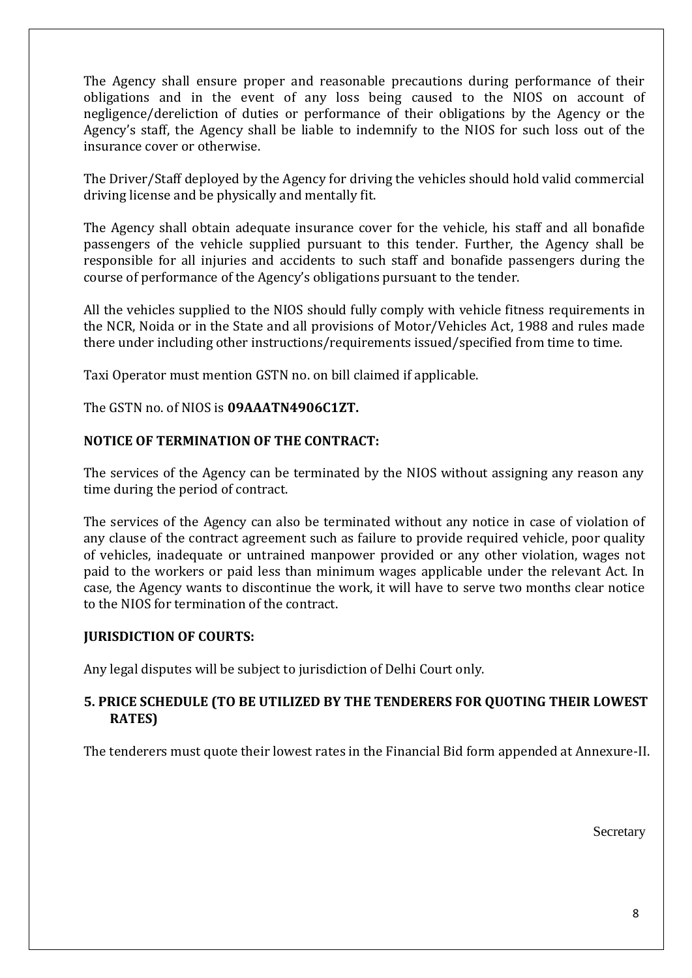The Agency shall ensure proper and reasonable precautions during performance of their obligations and in the event of any loss being caused to the NIOS on account of negligence/dereliction of duties or performance of their obligations by the Agency or the Agency's staff, the Agency shall be liable to indemnify to the NIOS for such loss out of the insurance cover or otherwise.

The Driver/Staff deployed by the Agency for driving the vehicles should hold valid commercial driving license and be physically and mentally fit.

The Agency shall obtain adequate insurance cover for the vehicle, his staff and all bonafide passengers of the vehicle supplied pursuant to this tender. Further, the Agency shall be responsible for all injuries and accidents to such staff and bonafide passengers during the course of performance of the Agency's obligations pursuant to the tender.

All the vehicles supplied to the NIOS should fully comply with vehicle fitness requirements in the NCR, Noida or in the State and all provisions of Motor/Vehicles Act, 1988 and rules made there under including other instructions/requirements issued/specified from time to time.

Taxi Operator must mention GSTN no. on bill claimed if applicable.

The GSTN no. of NIOS is **09AAATN4906C1ZT.**

# **NOTICE OF TERMINATION OF THE CONTRACT:**

The services of the Agency can be terminated by the NIOS without assigning any reason any time during the period of contract.

The services of the Agency can also be terminated without any notice in case of violation of any clause of the contract agreement such as failure to provide required vehicle, poor quality of vehicles, inadequate or untrained manpower provided or any other violation, wages not paid to the workers or paid less than minimum wages applicable under the relevant Act. In case, the Agency wants to discontinue the work, it will have to serve two months clear notice to the NIOS for termination of the contract.

### **JURISDICTION OF COURTS:**

Any legal disputes will be subject to jurisdiction of Delhi Court only.

# **5. PRICE SCHEDULE (TO BE UTILIZED BY THE TENDERERS FOR QUOTING THEIR LOWEST RATES)**

The tenderers must quote their lowest rates in the Financial Bid form appended at Annexure-II.

Secretary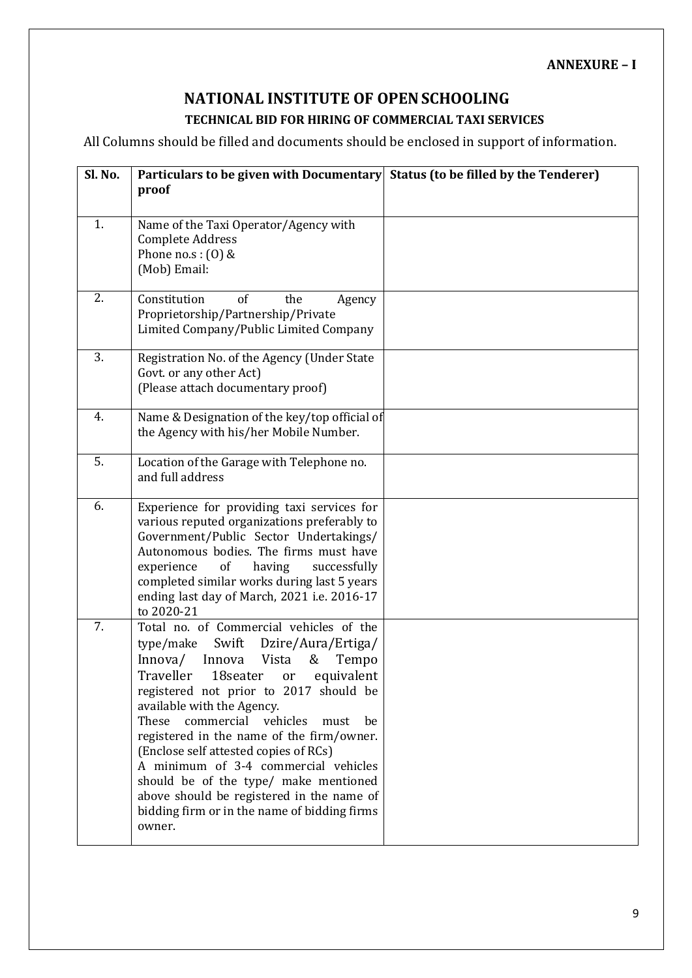### **ANNEXURE – I**

# **NATIONAL INSTITUTE OF OPENSCHOOLING TECHNICAL BID FOR HIRING OF COMMERCIAL TAXI SERVICES**

All Columns should be filled and documents should be enclosed in support of information.

| Sl. No. | Particulars to be given with Documentary Status (to be filled by the Tenderer)<br>proof                                                                                                                                                                                                                                                                                                                                                                                                                                                                                          |  |
|---------|----------------------------------------------------------------------------------------------------------------------------------------------------------------------------------------------------------------------------------------------------------------------------------------------------------------------------------------------------------------------------------------------------------------------------------------------------------------------------------------------------------------------------------------------------------------------------------|--|
| 1.      | Name of the Taxi Operator/Agency with<br><b>Complete Address</b><br>Phone no.s: $(0)$ &<br>(Mob) Email:                                                                                                                                                                                                                                                                                                                                                                                                                                                                          |  |
| 2.      | Constitution<br><sub>of</sub><br>the<br>Agency<br>Proprietorship/Partnership/Private<br>Limited Company/Public Limited Company                                                                                                                                                                                                                                                                                                                                                                                                                                                   |  |
| 3.      | Registration No. of the Agency (Under State<br>Govt. or any other Act)<br>(Please attach documentary proof)                                                                                                                                                                                                                                                                                                                                                                                                                                                                      |  |
| 4.      | Name & Designation of the key/top official of<br>the Agency with his/her Mobile Number.                                                                                                                                                                                                                                                                                                                                                                                                                                                                                          |  |
| 5.      | Location of the Garage with Telephone no.<br>and full address                                                                                                                                                                                                                                                                                                                                                                                                                                                                                                                    |  |
| 6.      | Experience for providing taxi services for<br>various reputed organizations preferably to<br>Government/Public Sector Undertakings/<br>Autonomous bodies. The firms must have<br>of<br>having<br>successfully<br>experience<br>completed similar works during last 5 years<br>ending last day of March, 2021 i.e. 2016-17<br>to 2020-21                                                                                                                                                                                                                                          |  |
| 7.      | Total no. of Commercial vehicles of the<br>Swift Dzire/Aura/Ertiga/<br>type/make<br>Innova/<br>Vista<br>Innova<br>Tempo<br>&<br>Traveller<br>equivalent<br>18seater<br>or<br>registered not prior to 2017 should be<br>available with the Agency.<br>vehicles<br>These<br>commercial<br>be<br>must<br>registered in the name of the firm/owner.<br>(Enclose self attested copies of RCs)<br>A minimum of 3-4 commercial vehicles<br>should be of the type/ make mentioned<br>above should be registered in the name of<br>bidding firm or in the name of bidding firms<br>owner. |  |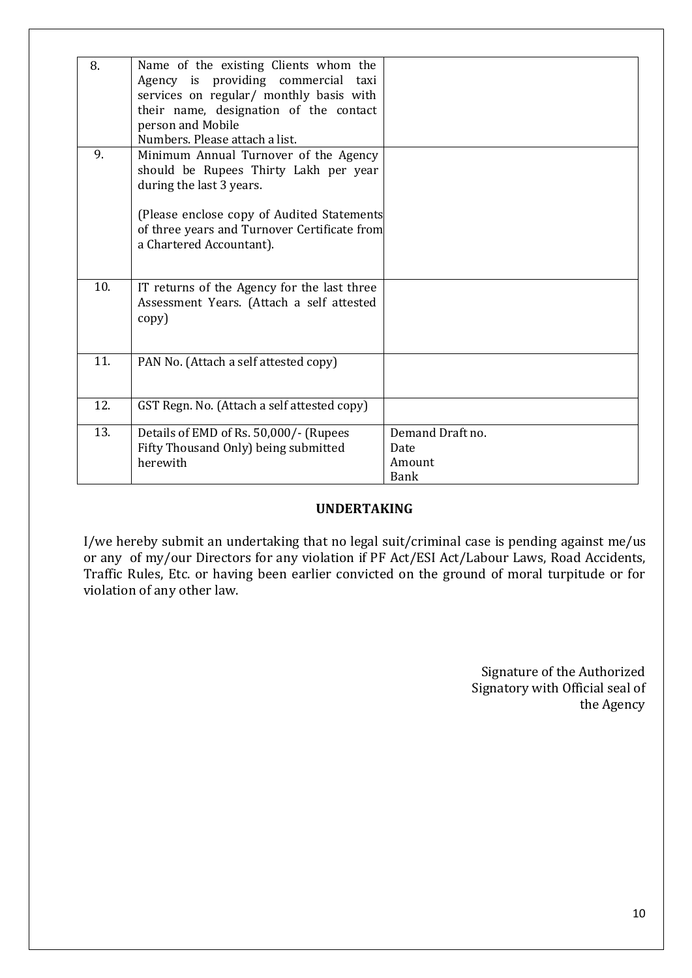| 8.  | Name of the existing Clients whom the<br>Agency is providing commercial taxi<br>services on regular/ monthly basis with<br>their name, designation of the contact<br>person and Mobile<br>Numbers. Please attach a list.             |                                                   |
|-----|--------------------------------------------------------------------------------------------------------------------------------------------------------------------------------------------------------------------------------------|---------------------------------------------------|
| 9.  | Minimum Annual Turnover of the Agency<br>should be Rupees Thirty Lakh per year<br>during the last 3 years.<br>(Please enclose copy of Audited Statements<br>of three years and Turnover Certificate from<br>a Chartered Accountant). |                                                   |
| 10. | IT returns of the Agency for the last three<br>Assessment Years. (Attach a self attested<br>copy)                                                                                                                                    |                                                   |
| 11. | PAN No. (Attach a self attested copy)                                                                                                                                                                                                |                                                   |
| 12. | GST Regn. No. (Attach a self attested copy)                                                                                                                                                                                          |                                                   |
| 13. | Details of EMD of Rs. 50,000/- (Rupees<br>Fifty Thousand Only) being submitted<br>herewith                                                                                                                                           | Demand Draft no.<br>Date<br>Amount<br><b>Bank</b> |

### **UNDERTAKING**

I/we hereby submit an undertaking that no legal suit/criminal case is pending against me/us or any of my/our Directors for any violation if PF Act/ESI Act/Labour Laws, Road Accidents, Traffic Rules, Etc. or having been earlier convicted on the ground of moral turpitude or for violation of any other law.

> Signature of the Authorized Signatory with Official seal of the Agency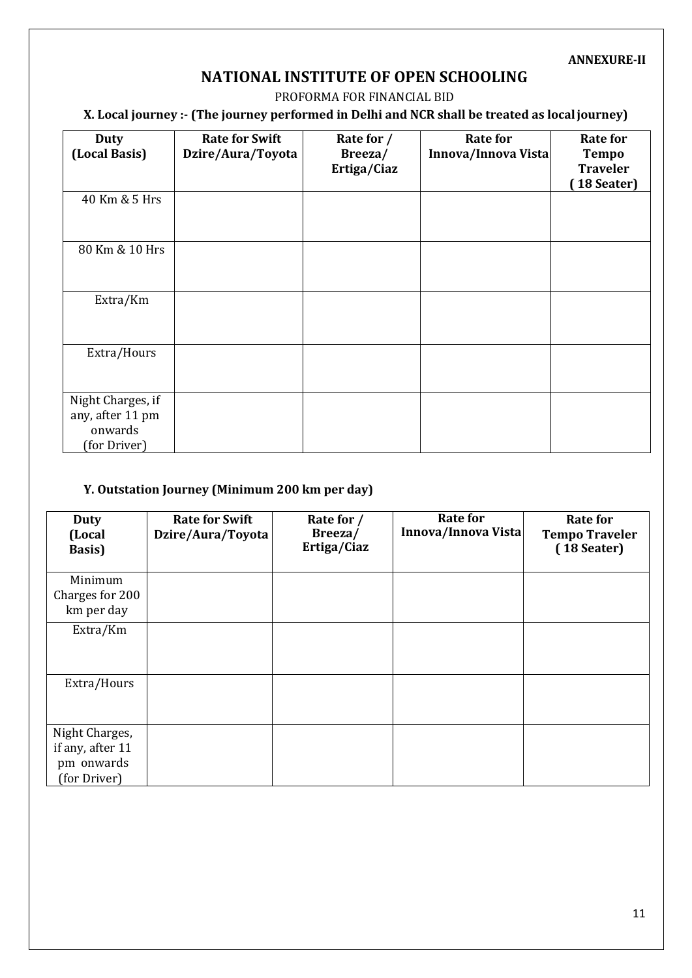#### **ANNEXURE-II**

# **NATIONAL INSTITUTE OF OPEN SCHOOLING**

#### PROFORMA FOR FINANCIAL BID

# **X. Local journey :- (The journey performed in Delhi and NCR shall be treated as localjourney)**

| <b>Duty</b><br>(Local Basis)                                     | <b>Rate for Swift</b><br>Dzire/Aura/Toyota | Rate for /<br>Breeza/<br>Ertiga/Ciaz | <b>Rate for</b><br>Innova/Innova Vista | <b>Rate for</b><br><b>Tempo</b><br><b>Traveler</b><br>[18 Seater] |
|------------------------------------------------------------------|--------------------------------------------|--------------------------------------|----------------------------------------|-------------------------------------------------------------------|
| 40 Km & 5 Hrs                                                    |                                            |                                      |                                        |                                                                   |
| 80 Km & 10 Hrs                                                   |                                            |                                      |                                        |                                                                   |
| Extra/Km                                                         |                                            |                                      |                                        |                                                                   |
| Extra/Hours                                                      |                                            |                                      |                                        |                                                                   |
| Night Charges, if<br>any, after 11 pm<br>onwards<br>(for Driver) |                                            |                                      |                                        |                                                                   |

#### **Y. Outstation Journey (Minimum 200 km per day)**

| <b>Duty</b><br>(Local<br><b>Basis</b> )                          | <b>Rate for Swift</b><br>Dzire/Aura/Toyota | Rate for /<br>Breeza/<br>Ertiga/Ciaz | <b>Rate for</b><br>Innova/Innova Vista | Rate for<br><b>Tempo Traveler</b><br>(18 Seater) |
|------------------------------------------------------------------|--------------------------------------------|--------------------------------------|----------------------------------------|--------------------------------------------------|
| Minimum<br>Charges for 200<br>km per day                         |                                            |                                      |                                        |                                                  |
| Extra/Km                                                         |                                            |                                      |                                        |                                                  |
| Extra/Hours                                                      |                                            |                                      |                                        |                                                  |
| Night Charges,<br>if any, after 11<br>pm onwards<br>(for Driver) |                                            |                                      |                                        |                                                  |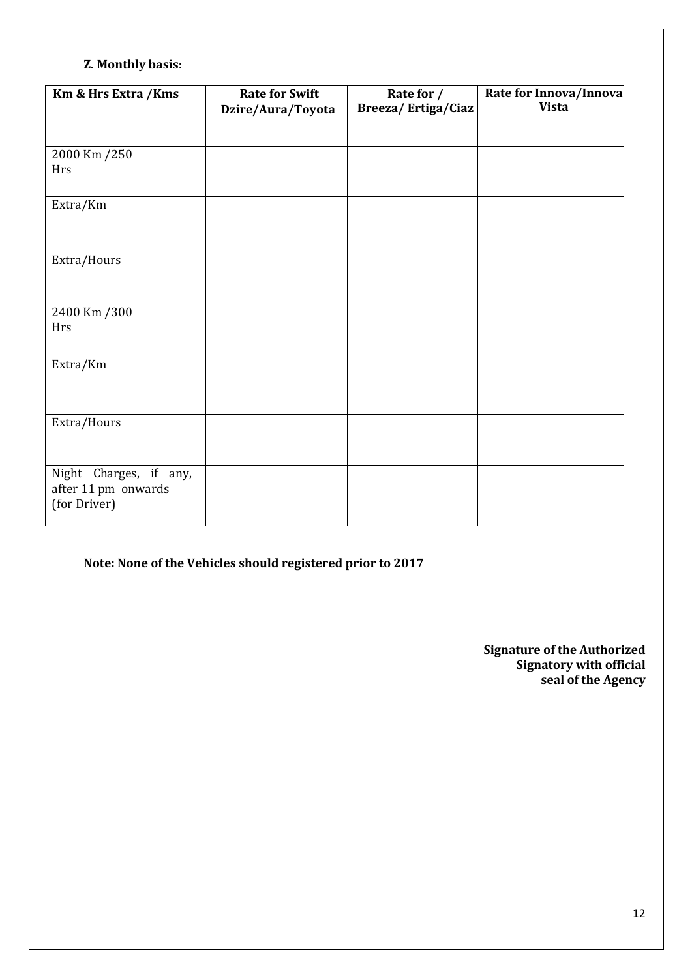# **Z. Monthly basis:**

| Km & Hrs Extra / Kms                                          | <b>Rate for Swift</b><br>Dzire/Aura/Toyota | Rate for /<br>Breeza/Ertiga/Ciaz | Rate for Innova/Innova<br><b>Vista</b> |
|---------------------------------------------------------------|--------------------------------------------|----------------------------------|----------------------------------------|
|                                                               |                                            |                                  |                                        |
| 2000 Km /250<br><b>Hrs</b>                                    |                                            |                                  |                                        |
| Extra/Km                                                      |                                            |                                  |                                        |
| Extra/Hours                                                   |                                            |                                  |                                        |
| 2400 Km /300<br>Hrs                                           |                                            |                                  |                                        |
| Extra/Km                                                      |                                            |                                  |                                        |
| Extra/Hours                                                   |                                            |                                  |                                        |
| Night Charges, if any,<br>after 11 pm onwards<br>(for Driver) |                                            |                                  |                                        |

# **Note: None of the Vehicles should registered prior to 2017**

**Signature of the Authorized Signatory with official seal of the Agency**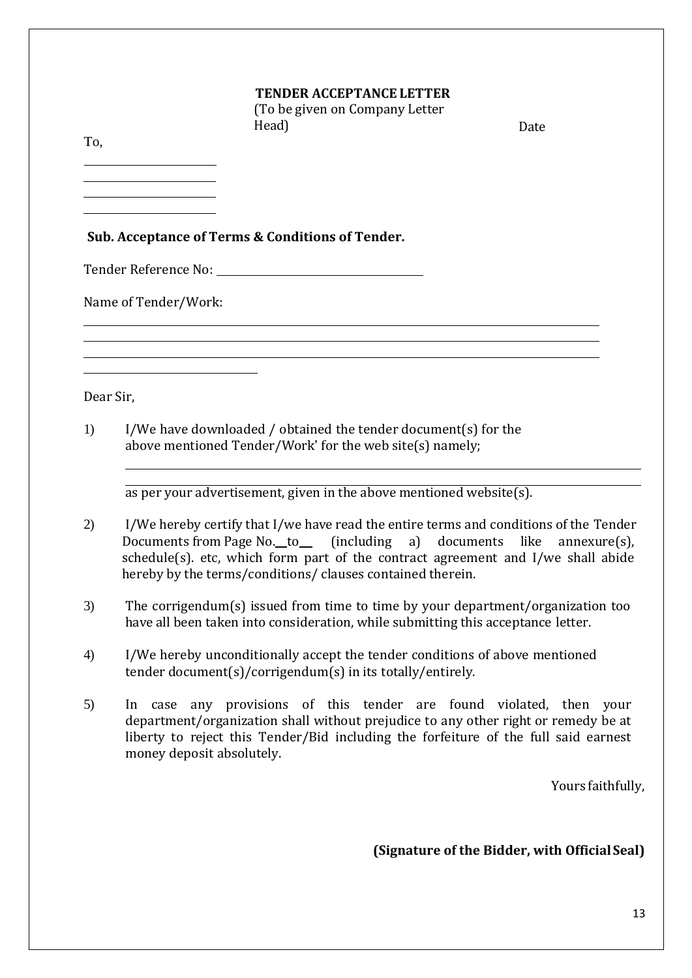#### **TENDER ACCEPTANCE LETTER**

(To be given on Company Letter Head) Date

To,

**Sub. Acceptance of Terms & Conditions of Tender.**

Tender Reference No:

Name of Tender/Work:

Dear Sir,

1) I/We have downloaded / obtained the tender document(s) for the above mentioned Tender/Work' for the web site(s) namely;

as per your advertisement, given in the above mentioned website(s).

- 2) I/We hereby certify that I/we have read the entire terms and conditions of the Tender Documents from Page No. to (including a) documents like annexure(s), schedule(s). etc, which form part of the contract agreement and I/we shall abide hereby by the terms/conditions/ clauses contained therein.
- 3) The corrigendum(s) issued from time to time by your department/organization too have all been taken into consideration, while submitting this acceptance letter.
- 4) I/We hereby unconditionally accept the tender conditions of above mentioned tender document(s)/corrigendum(s) in its totally/entirely.
- 5) In case any provisions of this tender are found violated, then your department/organization shall without prejudice to any other right or remedy be at liberty to reject this Tender/Bid including the forfeiture of the full said earnest money deposit absolutely.

Yours faithfully,

**(Signature of the Bidder, with OfficialSeal)**